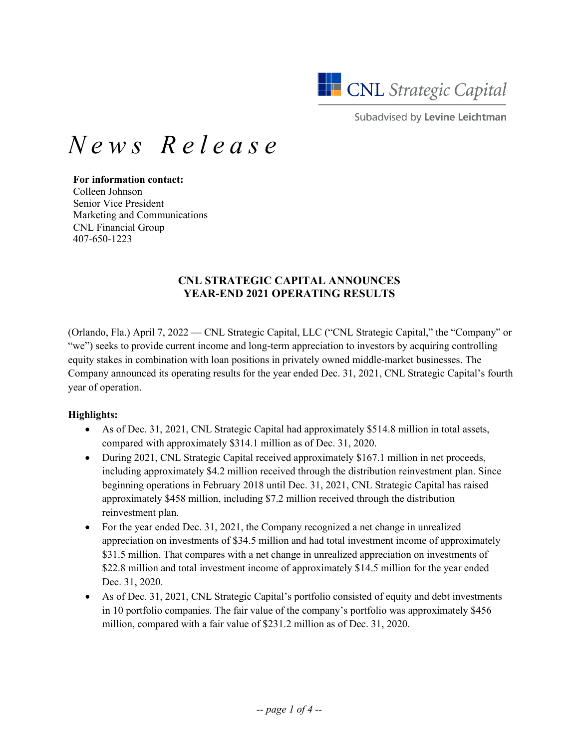

Subadvised by Levine Leichtman

# *News Release*

#### **For information contact:**

Colleen Johnson Senior Vice President Marketing and Communications CNL Financial Group 407-650-1223

## **CNL STRATEGIC CAPITAL ANNOUNCES YEAR-END 2021 OPERATING RESULTS**

(Orlando, Fla.) April 7, 2022 — CNL Strategic Capital, LLC ("CNL Strategic Capital," the "Company" or "we") seeks to provide current income and long-term appreciation to investors by acquiring controlling equity stakes in combination with loan positions in privately owned middle-market businesses. The Company announced its operating results for the year ended Dec. 31, 2021, CNL Strategic Capital's fourth year of operation.

#### **Highlights:**

- As of Dec. 31, 2021, CNL Strategic Capital had approximately \$514.8 million in total assets, compared with approximately \$314.1 million as of Dec. 31, 2020.
- During 2021, CNL Strategic Capital received approximately \$167.1 million in net proceeds, including approximately \$4.2 million received through the distribution reinvestment plan. Since beginning operations in February 2018 until Dec. 31, 2021, CNL Strategic Capital has raised approximately \$458 million, including \$7.2 million received through the distribution reinvestment plan.
- For the year ended Dec. 31, 2021, the Company recognized a net change in unrealized appreciation on investments of \$34.5 million and had total investment income of approximately \$31.5 million. That compares with a net change in unrealized appreciation on investments of \$22.8 million and total investment income of approximately \$14.5 million for the year ended Dec. 31, 2020.
- As of Dec. 31, 2021, CNL Strategic Capital's portfolio consisted of equity and debt investments in 10 portfolio companies. The fair value of the company's portfolio was approximately \$456 million, compared with a fair value of \$231.2 million as of Dec. 31, 2020.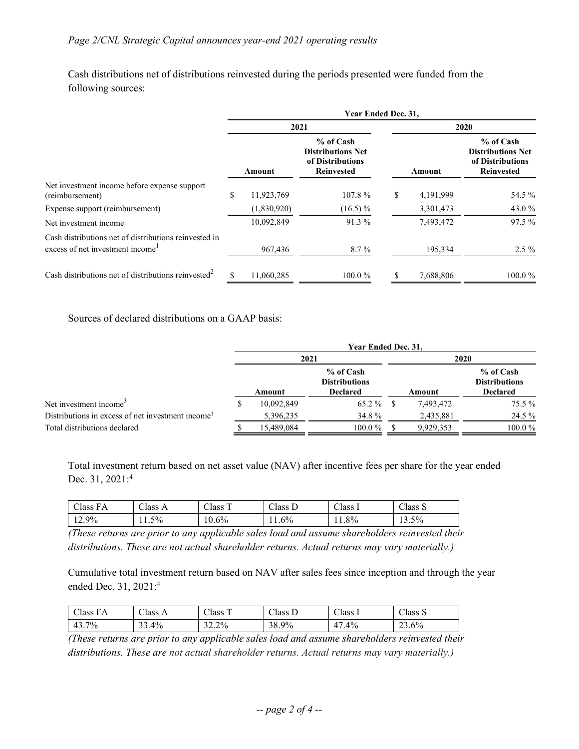Cash distributions net of distributions reinvested during the periods presented were funded from the following sources:

|                                                                                                       | Year Ended Dec. 31, |             |                                                                                  |      |           |                                                                                |
|-------------------------------------------------------------------------------------------------------|---------------------|-------------|----------------------------------------------------------------------------------|------|-----------|--------------------------------------------------------------------------------|
|                                                                                                       | 2021                |             |                                                                                  | 2020 |           |                                                                                |
|                                                                                                       |                     | Amount      | $%$ of Cash<br><b>Distributions Net</b><br>of Distributions<br><b>Reinvested</b> |      | Amount    | % of Cash<br><b>Distributions Net</b><br>of Distributions<br><b>Reinvested</b> |
| Net investment income before expense support<br>(reimbursement)                                       | \$                  | 11,923,769  | 107.8%                                                                           | S    | 4,191,999 | 54.5 %                                                                         |
| Expense support (reimbursement)                                                                       |                     | (1,830,920) | $(16.5)\%$                                                                       |      | 3,301,473 | 43.0 %                                                                         |
| Net investment income                                                                                 |                     | 10,092,849  | 91.3 %                                                                           |      | 7,493,472 | 97.5%                                                                          |
| Cash distributions net of distributions reinvested in<br>excess of net investment income <sup>1</sup> |                     | 967,436     | $8.7\%$                                                                          |      | 195,334   | $2.5\%$                                                                        |
| Cash distributions net of distributions reinvested <sup>2</sup>                                       |                     | 11,060,285  | $100.0\%$                                                                        |      | 7,688,806 | 100.0%                                                                         |

Sources of declared distributions on a GAAP basis:

|                                                               | Year Ended Dec. 31. |            |                                                      |      |           |                                                      |
|---------------------------------------------------------------|---------------------|------------|------------------------------------------------------|------|-----------|------------------------------------------------------|
|                                                               | 2021                |            |                                                      | 2020 |           |                                                      |
|                                                               |                     | Amount     | % of Cash<br><b>Distributions</b><br><b>Declared</b> |      | Amount    | % of Cash<br><b>Distributions</b><br><b>Declared</b> |
| Net investment income <sup>3</sup>                            |                     | 10,092,849 | $65.2\%$ \$                                          |      | 7,493,472 | 75.5 %                                               |
| Distributions in excess of net investment income <sup>1</sup> |                     | 5,396,235  | 34.8%                                                |      | 2.435.881 | 24.5 %                                               |
| Total distributions declared                                  |                     | 15,489,084 | $100.0\%$                                            |      | 9.929.353 | $100.0\%$                                            |

Total investment return based on net asset value (NAV) after incentive fees per share for the year ended Dec. 31, 2021: 4

| Class FA | $\sim$ 1<br>Class A | Class T | Class D | Class 1  | Class S |
|----------|---------------------|---------|---------|----------|---------|
| 12.9%    | 11.5%               | 10.6%   | 11.6%   | $11.8\%$ | 13.5%   |

*(These returns are prior to any applicable sales load and assume shareholders reinvested their distributions. These are not actual shareholder returns. Actual returns may vary materially.)*

Cumulative total investment return based on NAV after sales fees since inception and through the year ended Dec. 31, 2021: 4

| $\sim$ 1<br>T.<br>Lass.<br>н<br>А | $\sim$<br>Class A | $\sim$<br>m<br>Class | $\sim$<br>$\cup$ lass D | $\sim$<br>Class | $\sim$<br>Class S |
|-----------------------------------|-------------------|----------------------|-------------------------|-----------------|-------------------|
| $\sim$<br>$7\%$<br>43.7           | 33.4%             | 32.2%                | 38.9%                   | 47<br>$.4\%$    | 23.6%             |

*(These returns are prior to any applicable sales load and assume shareholders reinvested their distributions. These are not actual shareholder returns. Actual returns may vary materially.)*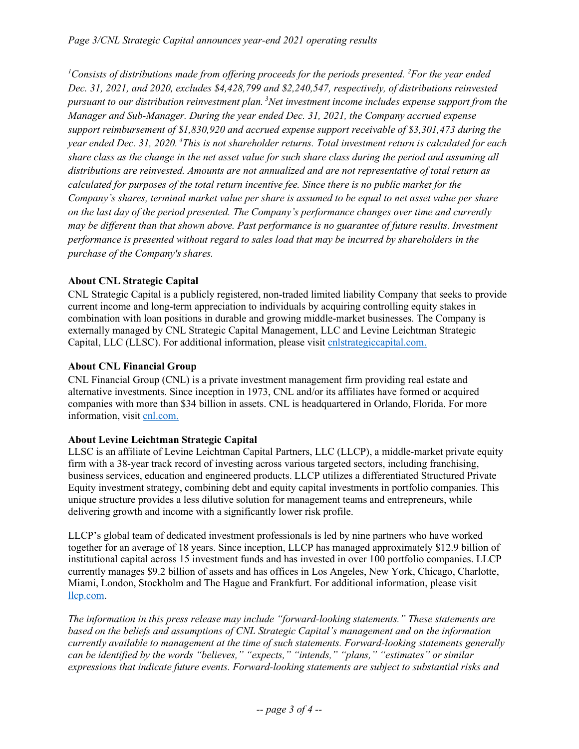<sup>1</sup> Consists of distributions made from offering proceeds for the periods presented. <sup>2</sup>For the year ended *Dec. 31, 2021, and 2020, excludes \$4,428,799 and \$2,240,547, respectively, of distributions reinvested pursuant to our distribution reinvestment plan. 3Net investment income includes expense support from the Manager and Sub-Manager. During the year ended Dec. 31, 2021, the Company accrued expense support reimbursement of \$1,830,920 and accrued expense support receivable of \$3,301,473 during the year ended Dec. 31, 2020. 4This is not shareholder returns. Total investment return is calculated for each share class as the change in the net asset value for such share class during the period and assuming all distributions are reinvested. Amounts are not annualized and are not representative of total return as calculated for purposes of the total return incentive fee. Since there is no public market for the Company's shares, terminal market value per share is assumed to be equal to net asset value per share on the last day of the period presented. The Company's performance changes over time and currently may be different than that shown above. Past performance is no guarantee of future results. Investment performance is presented without regard to sales load that may be incurred by shareholders in the purchase of the Company's shares.* 

# **About CNL Strategic Capital**

CNL Strategic Capital is a publicly registered, non-traded limited liability Company that seeks to provide current income and long-term appreciation to individuals by acquiring controlling equity stakes in combination with loan positions in durable and growing middle-market businesses. The Company is externally managed by CNL Strategic Capital Management, LLC and Levine Leichtman Strategic Capital, LLC (LLSC). For additional information, please visit [cnlstrategiccapital.com.](http://www.cnlstrategiccapital.com/)

## **About CNL Financial Group**

CNL Financial Group (CNL) is a private investment management firm providing real estate and alternative investments. Since inception in 1973, CNL and/or its affiliates have formed or acquired companies with more than \$34 billion in assets. CNL is headquartered in Orlando, Florida. For more information, visit [cnl.com.](http://www.cnl.com/) 

## **About Levine Leichtman Strategic Capital**

LLSC is an affiliate of Levine Leichtman Capital Partners, LLC (LLCP), a middle-market private equity firm with a 38-year track record of investing across various targeted sectors, including franchising, business services, education and engineered products. LLCP utilizes a differentiated Structured Private Equity investment strategy, combining debt and equity capital investments in portfolio companies. This unique structure provides a less dilutive solution for management teams and entrepreneurs, while delivering growth and income with a significantly lower risk profile.

LLCP's global team of dedicated investment professionals is led by nine partners who have worked together for an average of 18 years. Since inception, LLCP has managed approximately \$12.9 billion of institutional capital across 15 investment funds and has invested in over 100 portfolio companies. LLCP currently manages \$9.2 billion of assets and has offices in Los Angeles, New York, Chicago, Charlotte, Miami, London, Stockholm and The Hague and Frankfurt. For additional information, please visit [llcp.com.](http://www.llcp.com/)

*The information in this press release may include "forward-looking statements." These statements are based on the beliefs and assumptions of CNL Strategic Capital's management and on the information currently available to management at the time of such statements. Forward-looking statements generally can be identified by the words "believes," "expects," "intends," "plans," "estimates" or similar expressions that indicate future events. Forward-looking statements are subject to substantial risks and*